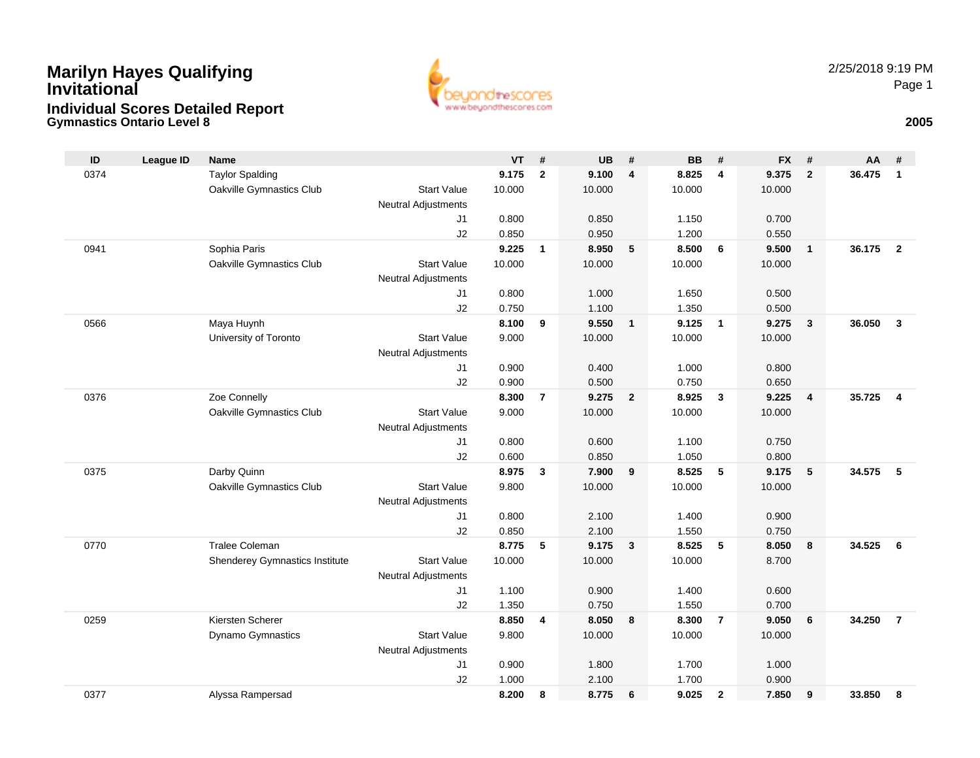## **Gymnastics Ontario Level 8 <sup>2005</sup> Marilyn Hayes Qualifying InvitationalIndividual Scores Detailed Report**



| ID   | League ID | <b>Name</b>                    |                            | <b>VT</b> | #              | <b>UB</b> | #              | <b>BB</b>      | #              | <b>FX</b>      | #                       | AA     | #              |
|------|-----------|--------------------------------|----------------------------|-----------|----------------|-----------|----------------|----------------|----------------|----------------|-------------------------|--------|----------------|
| 0374 |           | <b>Taylor Spalding</b>         |                            | 9.175     | $\mathbf{2}$   | 9.100     | 4              | 8.825          | 4              | 9.375          | $\overline{2}$          | 36.475 | $\mathbf{1}$   |
|      |           | Oakville Gymnastics Club       | <b>Start Value</b>         | 10.000    |                | 10.000    |                | 10.000         |                | 10.000         |                         |        |                |
|      |           |                                | <b>Neutral Adjustments</b> |           |                |           |                |                |                |                |                         |        |                |
|      |           |                                | J1                         | 0.800     |                | 0.850     |                | 1.150          |                | 0.700          |                         |        |                |
|      |           |                                | J2                         | 0.850     |                | 0.950     |                | 1.200          |                | 0.550          |                         |        |                |
| 0941 |           | Sophia Paris                   |                            | 9.225     | $\mathbf{1}$   | 8.950     | 5              | 8.500          | 6              | 9.500          | $\overline{\mathbf{1}}$ | 36.175 | $\overline{2}$ |
|      |           | Oakville Gymnastics Club       | <b>Start Value</b>         | 10.000    |                | 10.000    |                | 10.000         |                | 10.000         |                         |        |                |
|      |           |                                | <b>Neutral Adjustments</b> |           |                |           |                |                |                |                |                         |        |                |
|      |           |                                | J1                         | 0.800     |                | 1.000     |                | 1.650          |                | 0.500          |                         |        |                |
|      |           |                                | J2                         | 0.750     |                | 1.100     |                | 1.350          |                | 0.500          |                         |        |                |
| 0566 |           | Maya Huynh                     |                            | 8.100     | 9              | 9.550     | $\mathbf{1}$   | 9.125          | $\mathbf{1}$   | 9.275          | $\overline{\mathbf{3}}$ | 36.050 | $\mathbf{3}$   |
|      |           | University of Toronto          | <b>Start Value</b>         | 9.000     |                | 10.000    |                | 10.000         |                | 10.000         |                         |        |                |
|      |           |                                | <b>Neutral Adjustments</b> | 0.900     |                | 0.400     |                |                |                |                |                         |        |                |
|      |           |                                | J1<br>J2                   | 0.900     |                | 0.500     |                | 1.000<br>0.750 |                | 0.800<br>0.650 |                         |        |                |
| 0376 |           | Zoe Connelly                   |                            | 8.300     | $\overline{7}$ | 9.275     | $\overline{2}$ | 8.925          | 3              | 9.225          | $\overline{4}$          | 35.725 | $\overline{4}$ |
|      |           | Oakville Gymnastics Club       | <b>Start Value</b>         | 9.000     |                | 10.000    |                | 10.000         |                | 10.000         |                         |        |                |
|      |           |                                | <b>Neutral Adjustments</b> |           |                |           |                |                |                |                |                         |        |                |
|      |           |                                | J1                         | 0.800     |                | 0.600     |                | 1.100          |                | 0.750          |                         |        |                |
|      |           |                                | J2                         | 0.600     |                | 0.850     |                | 1.050          |                | 0.800          |                         |        |                |
| 0375 |           | Darby Quinn                    |                            | 8.975     | 3              | 7.900     | 9              | 8.525          | 5              | 9.175          | $-5$                    | 34.575 | -5             |
|      |           | Oakville Gymnastics Club       | <b>Start Value</b>         | 9.800     |                | 10.000    |                | 10.000         |                | 10.000         |                         |        |                |
|      |           |                                | <b>Neutral Adjustments</b> |           |                |           |                |                |                |                |                         |        |                |
|      |           |                                | J1                         | 0.800     |                | 2.100     |                | 1.400          |                | 0.900          |                         |        |                |
|      |           |                                | J2                         | 0.850     |                | 2.100     |                | 1.550          |                | 0.750          |                         |        |                |
| 0770 |           | <b>Tralee Coleman</b>          |                            | 8.775     | 5              | 9.175     | 3              | 8.525          | 5              | 8.050          | 8                       | 34.525 | 6              |
|      |           | Shenderey Gymnastics Institute | <b>Start Value</b>         | 10.000    |                | 10.000    |                | 10.000         |                | 8.700          |                         |        |                |
|      |           |                                | <b>Neutral Adjustments</b> |           |                |           |                |                |                |                |                         |        |                |
|      |           |                                | J1                         | 1.100     |                | 0.900     |                | 1.400          |                | 0.600          |                         |        |                |
|      |           |                                | J2                         | 1.350     |                | 0.750     |                | 1.550          |                | 0.700          |                         |        |                |
| 0259 |           | Kiersten Scherer               |                            | 8.850     | 4              | 8.050     | 8              | 8.300          | $\overline{7}$ | 9.050          | 6                       | 34.250 | $\overline{7}$ |
|      |           | Dynamo Gymnastics              | <b>Start Value</b>         | 9.800     |                | 10.000    |                | 10.000         |                | 10.000         |                         |        |                |
|      |           |                                | <b>Neutral Adjustments</b> |           |                |           |                |                |                |                |                         |        |                |
|      |           |                                | J1                         | 0.900     |                | 1.800     |                | 1.700          |                | 1.000          |                         |        |                |
|      |           |                                | J2                         | 1.000     |                | 2.100     |                | 1.700          |                | 0.900          |                         |        |                |
| 0377 |           | Alyssa Rampersad               |                            | 8.200     | 8              | 8.775     | 6              | 9.025          | $\mathbf{2}$   | 7.850          | 9                       | 33.850 | 8              |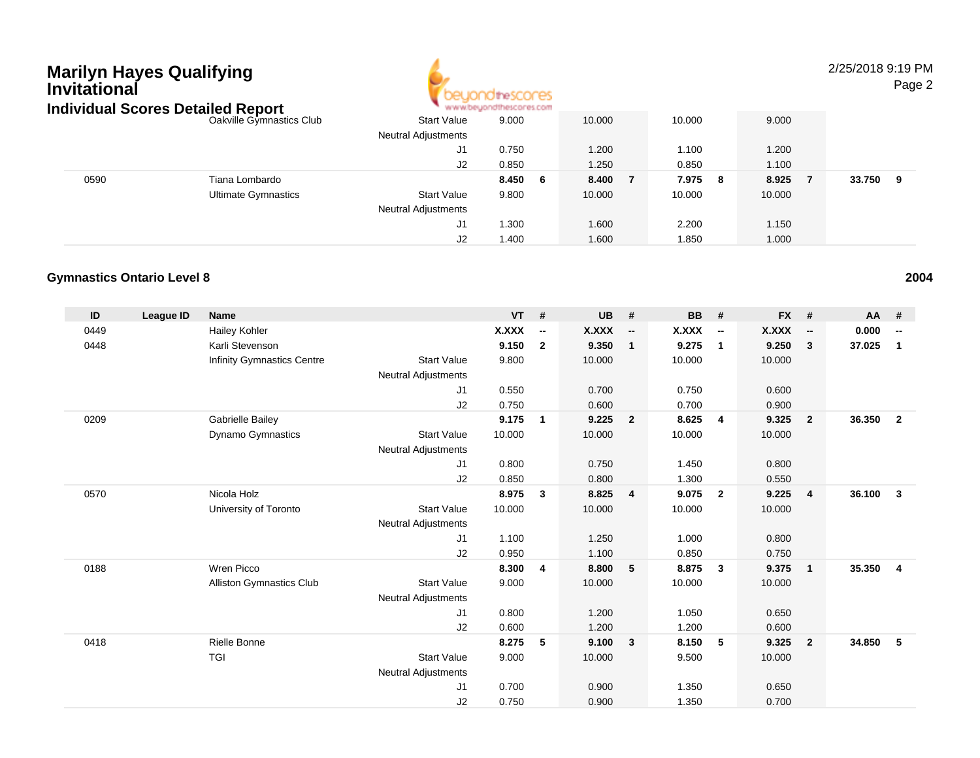# **Marilyn Hayes Qualifying InvitationalIndividual Scores Detailed Report**



### 2/25/2018 9:19 PM

Page 2

| ndividual Scores Detalled Report |                            |                            | " www.beyondthescores.com |        |            |        |             |  |
|----------------------------------|----------------------------|----------------------------|---------------------------|--------|------------|--------|-------------|--|
|                                  | Oakville Gymnastics Club   | <b>Start Value</b>         | 9.000                     | 10.000 | 10.000     | 9.000  |             |  |
|                                  |                            | <b>Neutral Adjustments</b> |                           |        |            |        |             |  |
|                                  |                            | J1                         | 0.750                     | 1.200  | 1.100      | 1.200  |             |  |
|                                  |                            | J <sub>2</sub>             | 0.850                     | 1.250  | 0.850      | 1.100  |             |  |
| 0590                             | Tiana Lombardo             |                            | 8.450<br>- 6              | 8.400  | 7.975<br>8 | 8.925  | 33.750<br>9 |  |
|                                  | <b>Ultimate Gymnastics</b> | <b>Start Value</b>         | 9.800                     | 10.000 | 10.000     | 10.000 |             |  |
|                                  |                            | <b>Neutral Adjustments</b> |                           |        |            |        |             |  |
|                                  |                            | J1                         | 1.300                     | 1.600  | 2.200      | 1.150  |             |  |
|                                  |                            | J2                         | 1.400                     | 1.600  | 1.850      | 1.000  |             |  |

#### **Gymnastics Ontario Level 8**

| ID   | League ID | <b>Name</b>                     |                            | <b>VT</b>    | #                        | <b>UB</b> | #                        | <b>BB</b> | #                        | <b>FX</b>    | #                        | <b>AA</b> | #                        |
|------|-----------|---------------------------------|----------------------------|--------------|--------------------------|-----------|--------------------------|-----------|--------------------------|--------------|--------------------------|-----------|--------------------------|
| 0449 |           | <b>Hailey Kohler</b>            |                            | <b>X.XXX</b> | $\overline{\phantom{a}}$ | X.XXX     | $\overline{\phantom{a}}$ | X.XXX     | $\overline{\phantom{a}}$ | <b>X.XXX</b> | $\overline{\phantom{a}}$ | 0.000     | $\overline{\phantom{a}}$ |
| 0448 |           | Karli Stevenson                 |                            | 9.150        | $\overline{2}$           | 9.350     | $\overline{1}$           | 9.275     | $\overline{1}$           | 9.250        | 3                        | 37.025    | $\mathbf{1}$             |
|      |           | Infinity Gymnastics Centre      | <b>Start Value</b>         | 9.800        |                          | 10.000    |                          | 10.000    |                          | 10.000       |                          |           |                          |
|      |           |                                 | <b>Neutral Adjustments</b> |              |                          |           |                          |           |                          |              |                          |           |                          |
|      |           |                                 | J1                         | 0.550        |                          | 0.700     |                          | 0.750     |                          | 0.600        |                          |           |                          |
|      |           |                                 | J2                         | 0.750        |                          | 0.600     |                          | 0.700     |                          | 0.900        |                          |           |                          |
| 0209 |           | Gabrielle Bailey                |                            | 9.175        | 1                        | 9.225     | $\overline{2}$           | 8.625     | $\overline{4}$           | 9.325        | $\overline{2}$           | 36.350    | $\overline{2}$           |
|      |           | <b>Dynamo Gymnastics</b>        | <b>Start Value</b>         | 10.000       |                          | 10.000    |                          | 10.000    |                          | 10.000       |                          |           |                          |
|      |           |                                 | <b>Neutral Adjustments</b> |              |                          |           |                          |           |                          |              |                          |           |                          |
|      |           |                                 | J1                         | 0.800        |                          | 0.750     |                          | 1.450     |                          | 0.800        |                          |           |                          |
|      |           |                                 | J2                         | 0.850        |                          | 0.800     |                          | 1.300     |                          | 0.550        |                          |           |                          |
| 0570 |           | Nicola Holz                     |                            | 8.975        | 3                        | 8.825     | $\overline{4}$           | 9.075     | $\overline{2}$           | 9.225        | $\overline{4}$           | 36.100    | $\mathbf{3}$             |
|      |           | University of Toronto           | <b>Start Value</b>         | 10.000       |                          | 10.000    |                          | 10.000    |                          | 10.000       |                          |           |                          |
|      |           |                                 | <b>Neutral Adjustments</b> |              |                          |           |                          |           |                          |              |                          |           |                          |
|      |           |                                 | J1                         | 1.100        |                          | 1.250     |                          | 1.000     |                          | 0.800        |                          |           |                          |
|      |           |                                 | J2                         | 0.950        |                          | 1.100     |                          | 0.850     |                          | 0.750        |                          |           |                          |
| 0188 |           | Wren Picco                      |                            | 8.300        | $\overline{4}$           | 8.800     | $-5$                     | 8.875     | $\overline{\mathbf{3}}$  | 9.375        | $\overline{1}$           | 35.350    | $\overline{4}$           |
|      |           | <b>Alliston Gymnastics Club</b> | <b>Start Value</b>         | 9.000        |                          | 10.000    |                          | 10.000    |                          | 10.000       |                          |           |                          |
|      |           |                                 | <b>Neutral Adjustments</b> |              |                          |           |                          |           |                          |              |                          |           |                          |
|      |           |                                 | J1                         | 0.800        |                          | 1.200     |                          | 1.050     |                          | 0.650        |                          |           |                          |
|      |           |                                 | J2                         | 0.600        |                          | 1.200     |                          | 1.200     |                          | 0.600        |                          |           |                          |
| 0418 |           | <b>Rielle Bonne</b>             |                            | 8.275        | 5                        | 9.100     | $\overline{\mathbf{3}}$  | 8.150     | 5                        | 9.325        | $\overline{2}$           | 34.850    | 5                        |
|      |           | <b>TGI</b>                      | <b>Start Value</b>         | 9.000        |                          | 10.000    |                          | 9.500     |                          | 10.000       |                          |           |                          |
|      |           |                                 | <b>Neutral Adjustments</b> |              |                          |           |                          |           |                          |              |                          |           |                          |
|      |           |                                 | J <sub>1</sub>             | 0.700        |                          | 0.900     |                          | 1.350     |                          | 0.650        |                          |           |                          |
|      |           |                                 | J2                         | 0.750        |                          | 0.900     |                          | 1.350     |                          | 0.700        |                          |           |                          |

**<sup>2004</sup>**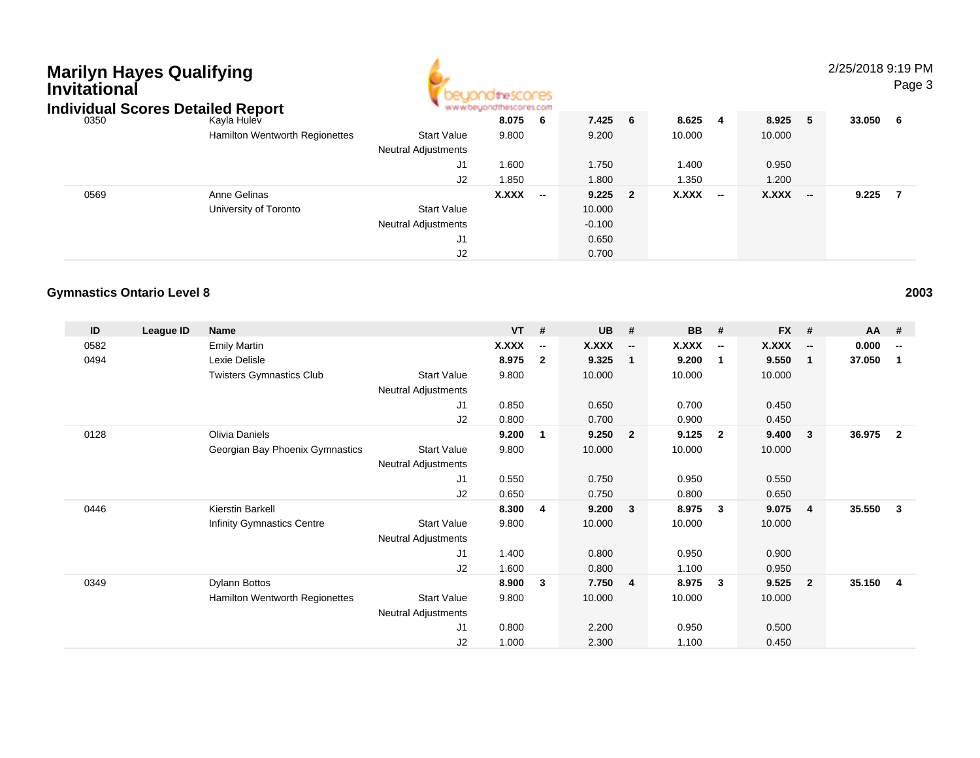| <b>Marilyn Hayes Qualifying</b><br>Invitational<br><b>Individual Scores Detailed Report</b> |                                       |                                                  |                |                          |                |     |                |                          |                |                          | 2/25/2018 9:19 PM | Page 3 |
|---------------------------------------------------------------------------------------------|---------------------------------------|--------------------------------------------------|----------------|--------------------------|----------------|-----|----------------|--------------------------|----------------|--------------------------|-------------------|--------|
| 0350                                                                                        | Kayla Hulev                           |                                                  | 8.075          | -6                       | 7.425 6        |     | 8.625          | -4                       | 8.925 5        |                          | 33.050            | - 6    |
|                                                                                             | <b>Hamilton Wentworth Regionettes</b> | <b>Start Value</b><br><b>Neutral Adjustments</b> | 9.800          |                          | 9.200          |     | 10.000         |                          | 10.000         |                          |                   |        |
|                                                                                             |                                       | J1<br>J2                                         | 1.600<br>1.850 |                          | 1.750<br>1.800 |     | 1.400<br>1.350 |                          | 0.950<br>1.200 |                          |                   |        |
| 0569                                                                                        | Anne Gelinas                          |                                                  | X.XXX          | $\overline{\phantom{a}}$ | 9.225          | - 2 | X.XXX          | $\overline{\phantom{a}}$ | <b>X.XXX</b>   | $\overline{\phantom{a}}$ | 9.225             | - 7    |
|                                                                                             | University of Toronto                 | <b>Start Value</b>                               |                |                          | 10.000         |     |                |                          |                |                          |                   |        |
|                                                                                             |                                       | <b>Neutral Adjustments</b>                       |                |                          | $-0.100$       |     |                |                          |                |                          |                   |        |
|                                                                                             |                                       | J1                                               |                |                          | 0.650          |     |                |                          |                |                          |                   |        |
|                                                                                             |                                       | J2                                               |                |                          | 0.700          |     |                |                          |                |                          |                   |        |

### **Gymnastics Ontario Level 8**

| ID   | League ID | Name                            |                            | $VT$ # |                          | <b>UB</b> | #                        | <b>BB</b> | #                        | <b>FX</b> | #                        | <b>AA</b> | #                        |
|------|-----------|---------------------------------|----------------------------|--------|--------------------------|-----------|--------------------------|-----------|--------------------------|-----------|--------------------------|-----------|--------------------------|
| 0582 |           | <b>Emily Martin</b>             |                            | X.XXX  | $\overline{\phantom{a}}$ | X.XXX     | $\overline{\phantom{a}}$ | X.XXX     | $\overline{\phantom{a}}$ | X.XXX     | $\overline{\phantom{a}}$ | 0.000     | $\overline{\phantom{a}}$ |
| 0494 |           | Lexie Delisle                   |                            | 8.975  | $\mathbf{2}$             | 9.325     | 1                        | 9.200     | $\overline{1}$           | 9.550     | $\overline{\mathbf{1}}$  | 37.050    | 1                        |
|      |           | <b>Twisters Gymnastics Club</b> | <b>Start Value</b>         | 9.800  |                          | 10.000    |                          | 10.000    |                          | 10.000    |                          |           |                          |
|      |           |                                 | <b>Neutral Adjustments</b> |        |                          |           |                          |           |                          |           |                          |           |                          |
|      |           |                                 | J1                         | 0.850  |                          | 0.650     |                          | 0.700     |                          | 0.450     |                          |           |                          |
|      |           |                                 | J2                         | 0.800  |                          | 0.700     |                          | 0.900     |                          | 0.450     |                          |           |                          |
| 0128 |           | Olivia Daniels                  |                            | 9.200  | 1                        | 9.250     | $\overline{2}$           | 9.125     | $\overline{2}$           | 9.400     | $\mathbf{3}$             | 36.975    | $\overline{2}$           |
|      |           | Georgian Bay Phoenix Gymnastics | <b>Start Value</b>         | 9.800  |                          | 10.000    |                          | 10.000    |                          | 10.000    |                          |           |                          |
|      |           |                                 | Neutral Adjustments        |        |                          |           |                          |           |                          |           |                          |           |                          |
|      |           |                                 | J1                         | 0.550  |                          | 0.750     |                          | 0.950     |                          | 0.550     |                          |           |                          |
|      |           |                                 | J2                         | 0.650  |                          | 0.750     |                          | 0.800     |                          | 0.650     |                          |           |                          |
| 0446 |           | Kierstin Barkell                |                            | 8.300  | 4                        | 9.200     | $\mathbf{3}$             | 8.975     | $\mathbf{3}$             | 9.075     | $\overline{4}$           | 35.550    | 3                        |
|      |           | Infinity Gymnastics Centre      | <b>Start Value</b>         | 9.800  |                          | 10.000    |                          | 10.000    |                          | 10.000    |                          |           |                          |
|      |           |                                 | <b>Neutral Adjustments</b> |        |                          |           |                          |           |                          |           |                          |           |                          |
|      |           |                                 | J1                         | 1.400  |                          | 0.800     |                          | 0.950     |                          | 0.900     |                          |           |                          |
|      |           |                                 | J2                         | 1.600  |                          | 0.800     |                          | 1.100     |                          | 0.950     |                          |           |                          |
| 0349 |           | Dylann Bottos                   |                            | 8.900  | 3                        | 7.750 4   |                          | 8.975     | $\overline{\mathbf{3}}$  | 9.525     | - 2                      | 35.150    | -4                       |
|      |           | Hamilton Wentworth Regionettes  | <b>Start Value</b>         | 9.800  |                          | 10.000    |                          | 10.000    |                          | 10.000    |                          |           |                          |
|      |           |                                 | <b>Neutral Adjustments</b> |        |                          |           |                          |           |                          |           |                          |           |                          |
|      |           |                                 | J1                         | 0.800  |                          | 2.200     |                          | 0.950     |                          | 0.500     |                          |           |                          |
|      |           |                                 | J2                         | 1.000  |                          | 2.300     |                          | 1.100     |                          | 0.450     |                          |           |                          |
|      |           |                                 |                            |        |                          |           |                          |           |                          |           |                          |           |                          |

**<sup>2003</sup>**

### Page 3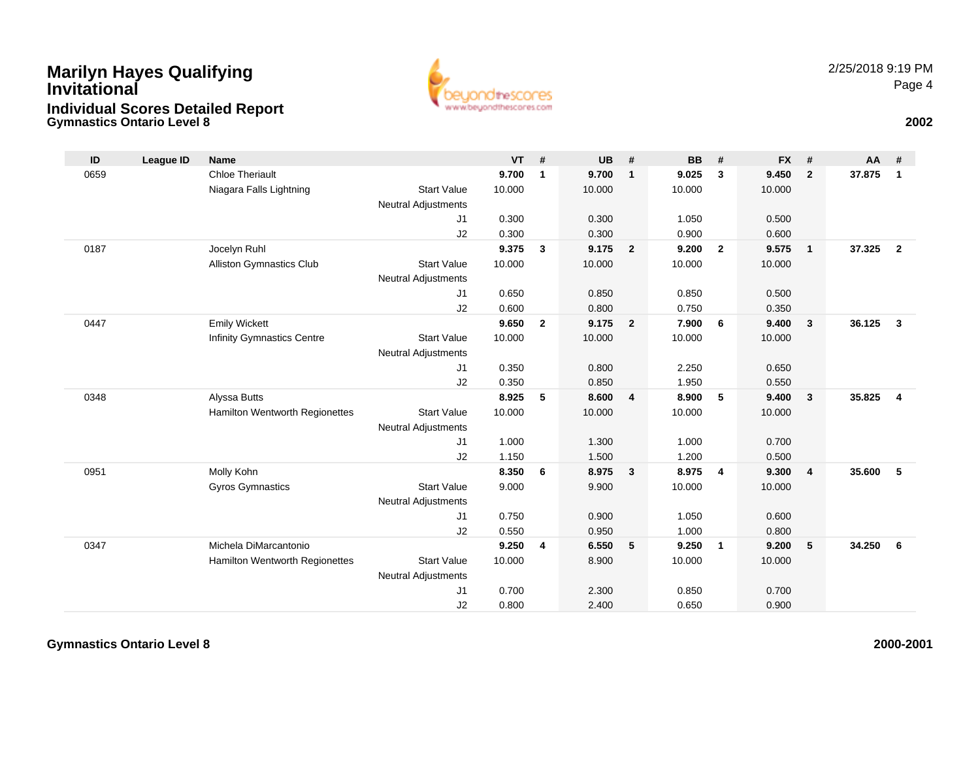## **Gymnastics Ontario Level 8 <sup>2002</sup> Marilyn Hayes Qualifying InvitationalIndividual Scores Detailed Report**



| ID   | League ID | <b>Name</b>                       |                            | $VT$ # |              | <b>UB</b> | #              | <b>BB</b> | #                       | <b>FX</b> | #                       | <b>AA</b> | -#             |
|------|-----------|-----------------------------------|----------------------------|--------|--------------|-----------|----------------|-----------|-------------------------|-----------|-------------------------|-----------|----------------|
| 0659 |           | <b>Chloe Theriault</b>            |                            | 9.700  | 1            | 9.700     | $\mathbf{1}$   | 9.025     | $\mathbf{3}$            | 9.450     | $\overline{2}$          | 37.875    | $\mathbf{1}$   |
|      |           | Niagara Falls Lightning           | <b>Start Value</b>         | 10.000 |              | 10.000    |                | 10.000    |                         | 10.000    |                         |           |                |
|      |           |                                   | <b>Neutral Adjustments</b> |        |              |           |                |           |                         |           |                         |           |                |
|      |           |                                   | J1                         | 0.300  |              | 0.300     |                | 1.050     |                         | 0.500     |                         |           |                |
|      |           |                                   | J2                         | 0.300  |              | 0.300     |                | 0.900     |                         | 0.600     |                         |           |                |
| 0187 |           | Jocelyn Ruhl                      |                            | 9.375  | $\mathbf{3}$ | 9.175     | $\overline{2}$ | 9.200     | $\overline{2}$          | 9.575     | $\overline{1}$          | 37.325    | $\overline{2}$ |
|      |           | <b>Alliston Gymnastics Club</b>   | <b>Start Value</b>         | 10.000 |              | 10.000    |                | 10.000    |                         | 10.000    |                         |           |                |
|      |           |                                   | <b>Neutral Adjustments</b> |        |              |           |                |           |                         |           |                         |           |                |
|      |           |                                   | J1                         | 0.650  |              | 0.850     |                | 0.850     |                         | 0.500     |                         |           |                |
|      |           |                                   | J2                         | 0.600  |              | 0.800     |                | 0.750     |                         | 0.350     |                         |           |                |
| 0447 |           | <b>Emily Wickett</b>              |                            | 9.650  | $\mathbf{2}$ | 9.175     | $\overline{2}$ | 7.900     | 6                       | 9.400     | $\overline{\mathbf{3}}$ | 36.125    | $\mathbf{3}$   |
|      |           | <b>Infinity Gymnastics Centre</b> | <b>Start Value</b>         | 10.000 |              | 10.000    |                | 10.000    |                         | 10.000    |                         |           |                |
|      |           |                                   | <b>Neutral Adjustments</b> |        |              |           |                |           |                         |           |                         |           |                |
|      |           |                                   | J1                         | 0.350  |              | 0.800     |                | 2.250     |                         | 0.650     |                         |           |                |
|      |           |                                   | J2                         | 0.350  |              | 0.850     |                | 1.950     |                         | 0.550     |                         |           |                |
| 0348 |           | Alyssa Butts                      |                            | 8.925  | 5            | 8.600     | 4              | 8.900     | 5                       | 9.400     | $\overline{\mathbf{3}}$ | 35.825    | $\overline{4}$ |
|      |           | Hamilton Wentworth Regionettes    | <b>Start Value</b>         | 10.000 |              | 10.000    |                | 10.000    |                         | 10.000    |                         |           |                |
|      |           |                                   | <b>Neutral Adjustments</b> |        |              |           |                |           |                         |           |                         |           |                |
|      |           |                                   | J1                         | 1.000  |              | 1.300     |                | 1.000     |                         | 0.700     |                         |           |                |
|      |           |                                   | J2                         | 1.150  |              | 1.500     |                | 1.200     |                         | 0.500     |                         |           |                |
| 0951 |           | Molly Kohn                        |                            | 8.350  | 6            | 8.975     | $\mathbf{3}$   | 8.975     | $\overline{4}$          | 9.300     | $\overline{4}$          | 35.600    | 5              |
|      |           | <b>Gyros Gymnastics</b>           | <b>Start Value</b>         | 9.000  |              | 9.900     |                | 10.000    |                         | 10.000    |                         |           |                |
|      |           |                                   | <b>Neutral Adjustments</b> |        |              |           |                |           |                         |           |                         |           |                |
|      |           |                                   | J1                         | 0.750  |              | 0.900     |                | 1.050     |                         | 0.600     |                         |           |                |
|      |           |                                   | J2                         | 0.550  |              | 0.950     |                | 1.000     |                         | 0.800     |                         |           |                |
| 0347 |           | Michela DiMarcantonio             |                            | 9.250  | 4            | 6.550     | 5              | 9.250     | $\overline{\mathbf{1}}$ | 9.200     | 5                       | 34.250    | 6              |
|      |           | Hamilton Wentworth Regionettes    | <b>Start Value</b>         | 10.000 |              | 8.900     |                | 10.000    |                         | 10.000    |                         |           |                |
|      |           |                                   | <b>Neutral Adjustments</b> |        |              |           |                |           |                         |           |                         |           |                |
|      |           |                                   | J <sub>1</sub>             | 0.700  |              | 2.300     |                | 0.850     |                         | 0.700     |                         |           |                |
|      |           |                                   | J2                         | 0.800  |              | 2.400     |                | 0.650     |                         | 0.900     |                         |           |                |

**Gymnastics Ontario Level 8**

**2000-2001**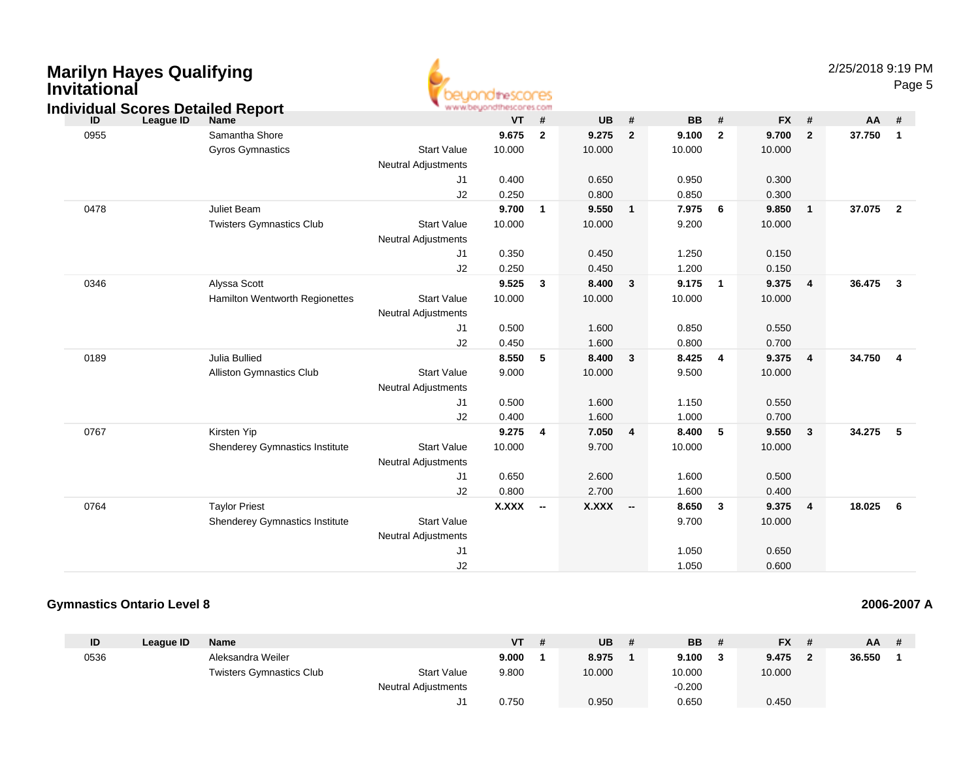| <b>Marilyn Hayes Qualifying</b><br><b>Invitational</b><br><b>Individual Scores Detailed Report</b> |                                 |                                                  | www.beuondthescores.com |                         |              |                          |           |                         |           |                | 2/25/2018 9:19 PM | Page 5                  |  |
|----------------------------------------------------------------------------------------------------|---------------------------------|--------------------------------------------------|-------------------------|-------------------------|--------------|--------------------------|-----------|-------------------------|-----------|----------------|-------------------|-------------------------|--|
| ID<br>League ID                                                                                    | <b>Name</b>                     |                                                  | <b>VT</b>               | #                       | <b>UB</b>    | $\pmb{\#}$               | <b>BB</b> | #                       | <b>FX</b> | $\pmb{\#}$     | AA                | #                       |  |
| 0955                                                                                               | Samantha Shore                  |                                                  | 9.675                   | $\overline{2}$          | 9.275        | $\overline{2}$           | 9.100     | $\overline{2}$          | 9.700     | $\overline{2}$ | 37.750            | $\overline{1}$          |  |
|                                                                                                    | <b>Gyros Gymnastics</b>         | <b>Start Value</b><br><b>Neutral Adjustments</b> | 10.000                  |                         | 10.000       |                          | 10.000    |                         | 10.000    |                |                   |                         |  |
|                                                                                                    |                                 | J1                                               | 0.400                   |                         | 0.650        |                          | 0.950     |                         | 0.300     |                |                   |                         |  |
|                                                                                                    |                                 | J2                                               | 0.250                   |                         | 0.800        |                          | 0.850     |                         | 0.300     |                |                   |                         |  |
| 0478                                                                                               | Juliet Beam                     |                                                  | 9.700                   | $\overline{\mathbf{1}}$ | 9.550        | $\mathbf{1}$             | 7.975     | - 6                     | 9.850     | $\mathbf{1}$   | 37.075            | $\overline{\mathbf{2}}$ |  |
|                                                                                                    | <b>Twisters Gymnastics Club</b> | <b>Start Value</b>                               | 10.000                  |                         | 10.000       |                          | 9.200     |                         | 10.000    |                |                   |                         |  |
|                                                                                                    |                                 | <b>Neutral Adjustments</b>                       |                         |                         |              |                          |           |                         |           |                |                   |                         |  |
|                                                                                                    |                                 | J1                                               | 0.350                   |                         | 0.450        |                          | 1.250     |                         | 0.150     |                |                   |                         |  |
|                                                                                                    |                                 | J2                                               | 0.250                   |                         | 0.450        |                          | 1.200     |                         | 0.150     |                |                   |                         |  |
| 0346                                                                                               | Alyssa Scott                    |                                                  | 9.525                   | $\mathbf{3}$            | 8.400        | $\mathbf{3}$             | 9.175     | $\overline{\mathbf{1}}$ | 9.375     | 4              | 36.475            | $\overline{\mathbf{3}}$ |  |
|                                                                                                    | Hamilton Wentworth Regionettes  | <b>Start Value</b><br><b>Neutral Adjustments</b> | 10.000                  |                         | 10.000       |                          | 10.000    |                         | 10.000    |                |                   |                         |  |
|                                                                                                    |                                 | J1                                               | 0.500                   |                         | 1.600        |                          | 0.850     |                         | 0.550     |                |                   |                         |  |
|                                                                                                    |                                 | J2                                               | 0.450                   |                         | 1.600        |                          | 0.800     |                         | 0.700     |                |                   |                         |  |
| 0189                                                                                               | Julia Bullied                   |                                                  | 8.550                   | -5                      | 8.400        | $\mathbf{3}$             | 8.425     | $\overline{4}$          | 9.375     | $\overline{4}$ | 34.750            | $\overline{4}$          |  |
|                                                                                                    | Alliston Gymnastics Club        | <b>Start Value</b><br><b>Neutral Adjustments</b> | 9.000                   |                         | 10.000       |                          | 9.500     |                         | 10.000    |                |                   |                         |  |
|                                                                                                    |                                 | J1                                               | 0.500                   |                         | 1.600        |                          | 1.150     |                         | 0.550     |                |                   |                         |  |
|                                                                                                    |                                 | J2                                               | 0.400                   |                         | 1.600        |                          | 1.000     |                         | 0.700     |                |                   |                         |  |
| 0767                                                                                               | Kirsten Yip                     |                                                  | 9.275                   | $\overline{\mathbf{4}}$ | 7.050        | $\overline{4}$           | 8.400     | $-5$                    | 9.550     | 3              | 34.275            | 5                       |  |
|                                                                                                    | Shenderey Gymnastics Institute  | <b>Start Value</b><br><b>Neutral Adjustments</b> | 10.000                  |                         | 9.700        |                          | 10.000    |                         | 10.000    |                |                   |                         |  |
|                                                                                                    |                                 | J <sub>1</sub>                                   | 0.650                   |                         | 2.600        |                          | 1.600     |                         | 0.500     |                |                   |                         |  |
|                                                                                                    |                                 | J2                                               | 0.800                   |                         | 2.700        |                          | 1.600     |                         | 0.400     |                |                   |                         |  |
| 0764                                                                                               | <b>Taylor Priest</b>            |                                                  | <b>X.XXX</b>            | $\sim$                  | <b>X.XXX</b> | $\overline{\phantom{a}}$ | 8.650     | $\overline{\mathbf{3}}$ | 9.375     | 4              | 18.025            | - 6                     |  |
|                                                                                                    | Shenderey Gymnastics Institute  | <b>Start Value</b>                               |                         |                         |              |                          | 9.700     |                         | 10.000    |                |                   |                         |  |
|                                                                                                    |                                 | <b>Neutral Adjustments</b>                       |                         |                         |              |                          |           |                         |           |                |                   |                         |  |
|                                                                                                    |                                 | J1                                               |                         |                         |              |                          | 1.050     |                         | 0.650     |                |                   |                         |  |
|                                                                                                    |                                 | J2                                               |                         |                         |              |                          | 1.050     |                         | 0.600     |                |                   |                         |  |

### **Gymnastics Ontario Level 8**

|  | 2006-2007 A |  |
|--|-------------|--|
|  |             |  |

| ID   | League ID | <b>Name</b>                     |                            | VT    | <b>UB</b> | <b>BB</b> | <b>FX</b> | $AA$ # |  |
|------|-----------|---------------------------------|----------------------------|-------|-----------|-----------|-----------|--------|--|
| 0536 |           | Aleksandra Weiler               |                            | 9.000 | 8.975     | 9.100     | 9.475     | 36.550 |  |
|      |           | <b>Twisters Gymnastics Club</b> | <b>Start Value</b>         | 9.800 | 10.000    | 10.000    | 10.000    |        |  |
|      |           |                                 | <b>Neutral Adjustments</b> |       |           | $-0.200$  |           |        |  |
|      |           |                                 | J1.                        | 0.750 | 0.950     | 0.650     | 0.450     |        |  |

**2006-2007 A**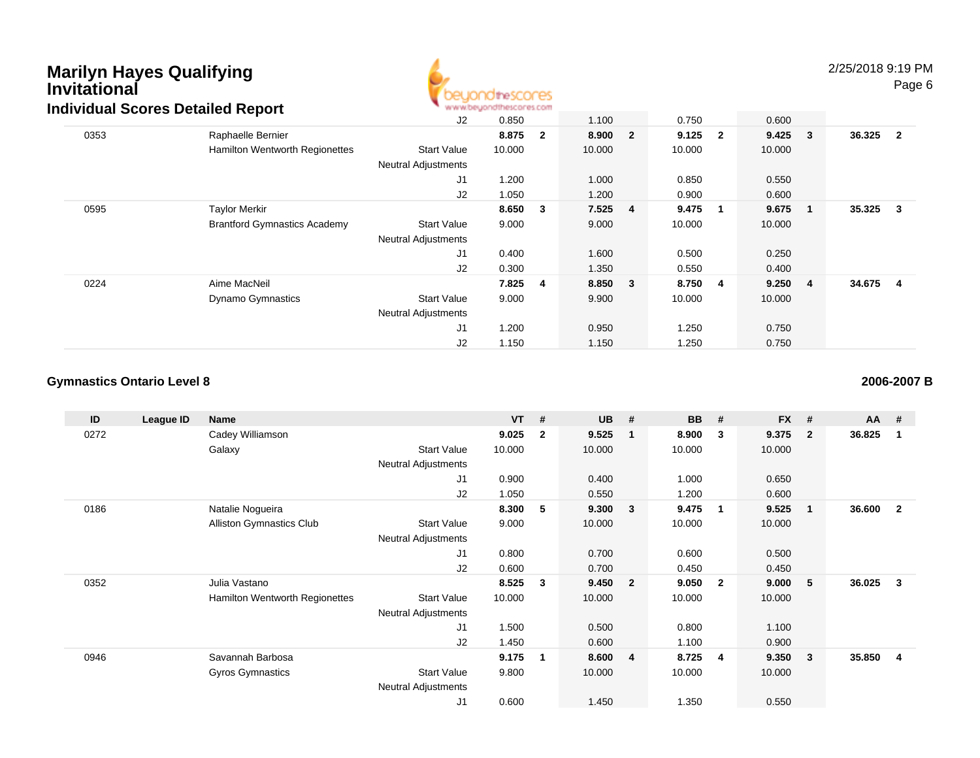### **Marilyn Hayes QualifyingInvitationalIndividual Scores Detailed Report**



2/25/2018 9:19 PMPage 6

|      | <u>dividual occies Detailed Report</u> |                            | an an anteresting the security and the research |                |        |                |           |             |           |                         |          |  |
|------|----------------------------------------|----------------------------|-------------------------------------------------|----------------|--------|----------------|-----------|-------------|-----------|-------------------------|----------|--|
|      |                                        | J2                         | 0.850                                           |                | 1.100  |                | 0.750     |             | 0.600     |                         |          |  |
| 0353 | Raphaelle Bernier                      |                            | 8.875                                           | $\overline{2}$ | 8.900  | $\overline{2}$ | $9.125$ 2 |             | $9.425$ 3 |                         | 36.325 2 |  |
|      | <b>Hamilton Wentworth Regionettes</b>  | <b>Start Value</b>         | 10.000                                          |                | 10.000 |                | 10.000    |             | 10.000    |                         |          |  |
|      |                                        | <b>Neutral Adjustments</b> |                                                 |                |        |                |           |             |           |                         |          |  |
|      |                                        | J1                         | 1.200                                           |                | 1.000  |                | 0.850     |             | 0.550     |                         |          |  |
|      |                                        | J2                         | 1.050                                           |                | 1.200  |                | 0.900     |             | 0.600     |                         |          |  |
| 0595 | <b>Taylor Merkir</b>                   |                            | 8.650                                           | $\mathbf{3}$   | 7.525  | 4              | 9.475     | $\mathbf 1$ | 9.675     | $\overline{\mathbf{1}}$ | 35.325 3 |  |
|      | <b>Brantford Gymnastics Academy</b>    | <b>Start Value</b>         | 9.000                                           |                | 9.000  |                | 10.000    |             | 10.000    |                         |          |  |
|      |                                        | <b>Neutral Adjustments</b> |                                                 |                |        |                |           |             |           |                         |          |  |
|      |                                        | J <sub>1</sub>             | 0.400                                           |                | 1.600  |                | 0.500     |             | 0.250     |                         |          |  |
|      |                                        | J <sub>2</sub>             | 0.300                                           |                | 1.350  |                | 0.550     |             | 0.400     |                         |          |  |
| 0224 | Aime MacNeil                           |                            | 7.825                                           | 4              | 8.850  | $\mathbf{3}$   | 8.750     | 4           | 9.250 4   |                         | 34.675 4 |  |
|      | <b>Dynamo Gymnastics</b>               | <b>Start Value</b>         | 9.000                                           |                | 9.900  |                | 10.000    |             | 10.000    |                         |          |  |
|      |                                        | <b>Neutral Adjustments</b> |                                                 |                |        |                |           |             |           |                         |          |  |
|      |                                        | J <sub>1</sub>             | 1.200                                           |                | 0.950  |                | 1.250     |             | 0.750     |                         |          |  |
|      |                                        | J <sub>2</sub>             | 1.150                                           |                | 1.150  |                | 1.250     |             | 0.750     |                         |          |  |

#### **Gymnastics Ontario Level 8**

**ID League ID Name VT # UB # BB # FX # AA #** 0272 Cadey Williamson **9.025 <sup>2</sup> 9.525 <sup>1</sup> 8.900 <sup>3</sup> 9.375 <sup>2</sup> 36.825 <sup>1</sup>** Galaxy Start Valuee 10.000 10.000 10.000 10.000 Neutral Adjustments J1 0.900 0.400 1.000 0.650 J2 1.050 0.550 1.200 0.600 0186 Natalie Nogueira **8.300 <sup>5</sup> 9.300 <sup>3</sup> 9.475 <sup>1</sup> 9.525 <sup>1</sup> 36.600 <sup>2</sup>** Alliston Gymnastics Clubb 3tart Value 9.000 10.000 10.000 10.000 10.000 Neutral Adjustments J1 0.800 0.700 0.600 0.500 J2 0.600 0.700 0.450 0.450 0352 Julia Vastano **8.525 <sup>3</sup> 9.450 <sup>2</sup> 9.050 <sup>2</sup> 9.000 <sup>5</sup> 36.025 <sup>3</sup>** Hamilton Wentworth Regionettes Start Valuee 10.000 10.000 10.000 10.000 Neutral Adjustments J1 1.500 0.500 0.800 1.100 J2 1.450 0.600 1.100 0.900 0946 Savannah Barbosa **9.175 <sup>1</sup> 8.600 <sup>4</sup> 8.725 <sup>4</sup> 9.350 <sup>3</sup> 35.850 <sup>4</sup>** Gyros Gymnastics Start Valuee 9.800 10.000 10.000 10.000 Neutral Adjustments J10.600 1.450 1.350 0.550

**2006-2007 B**